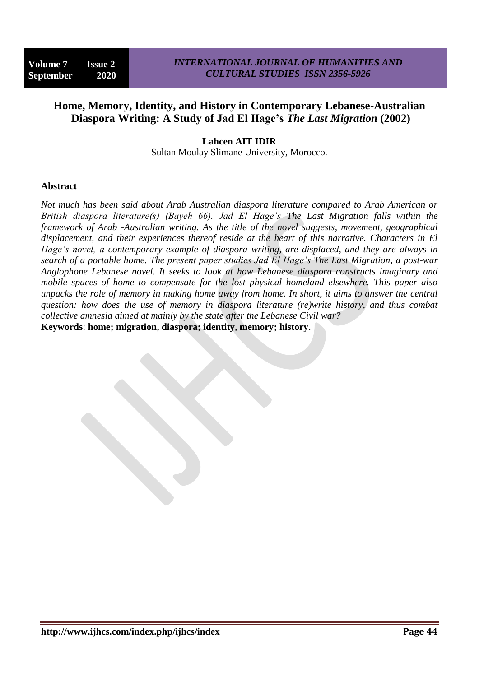# **Home, Memory, Identity, and History in Contemporary Lebanese-Australian Diaspora Writing: A Study of Jad El Hage's** *The Last Migration* **(2002)**

**Lahcen AIT IDIR** Sultan Moulay Slimane University, Morocco.

### **Abstract**

*Not much has been said about Arab Australian diaspora literature compared to Arab American or British diaspora literature(s) (Bayeh 66). Jad El Hage's The Last Migration falls within the framework of Arab -Australian writing. As the title of the novel suggests, movement, geographical displacement, and their experiences thereof reside at the heart of this narrative. Characters in El Hage's novel, a contemporary example of diaspora writing, are displaced, and they are always in search of a portable home. The present paper studies Jad El Hage's The Last Migration, a post-war Anglophone Lebanese novel. It seeks to look at how Lebanese diaspora constructs imaginary and mobile spaces of home to compensate for the lost physical homeland elsewhere. This paper also unpacks the role of memory in making home away from home. In short, it aims to answer the central question: how does the use of memory in diaspora literature (re)write history, and thus combat collective amnesia aimed at mainly by the state after the Lebanese Civil war?*  **Keywords**: **home; migration, diaspora; identity, memory; history**.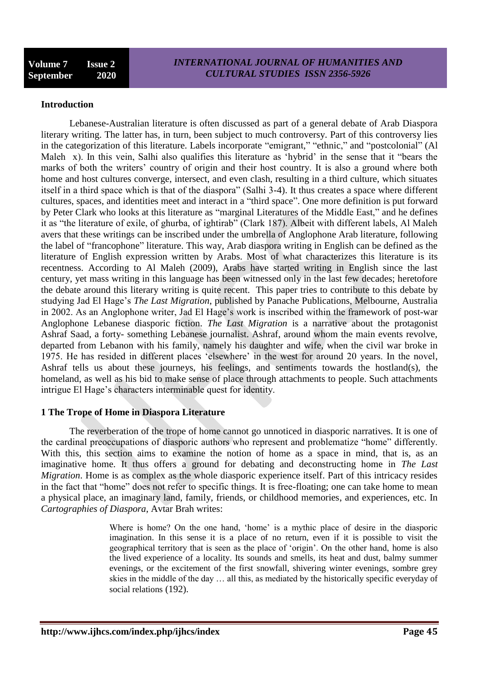## **Introduction**

Lebanese-Australian literature is often discussed as part of a general debate of Arab Diaspora literary writing. The latter has, in turn, been subject to much controversy. Part of this controversy lies in the categorization of this literature. Labels incorporate "emigrant," "ethnic," and "postcolonial" (Al Maleh x). In this vein, Salhi also qualifies this literature as 'hybrid' in the sense that it "bears the marks of both the writers' country of origin and their host country. It is also a ground where both home and host cultures converge, intersect, and even clash, resulting in a third culture, which situates itself in a third space which is that of the diaspora" (Salhi 3-4). It thus creates a space where different cultures, spaces, and identities meet and interact in a "third space". One more definition is put forward by Peter Clark who looks at this literature as "marginal Literatures of the Middle East," and he defines it as "the literature of exile, of ghurba, of ightirab" (Clark 187). Albeit with different labels, Al Maleh avers that these writings can be inscribed under the umbrella of Anglophone Arab literature, following the label of "francophone" literature. This way, Arab diaspora writing in English can be defined as the literature of English expression written by Arabs. Most of what characterizes this literature is its recentness. According to Al Maleh (2009), Arabs have started writing in English since the last century, yet mass writing in this language has been witnessed only in the last few decades; heretofore the debate around this literary writing is quite recent. This paper tries to contribute to this debate by studying Jad El Hage"s *The Last Migration*, published by Panache Publications, Melbourne, Australia in 2002. As an Anglophone writer, Jad El Hage"s work is inscribed within the framework of post-war Anglophone Lebanese diasporic fiction. *The Last Migration* is a narrative about the protagonist Ashraf Saad, a forty- something Lebanese journalist. Ashraf, around whom the main events revolve, departed from Lebanon with his family, namely his daughter and wife, when the civil war broke in 1975. He has resided in different places "elsewhere" in the west for around 20 years. In the novel, Ashraf tells us about these journeys, his feelings, and sentiments towards the hostland(s), the homeland, as well as his bid to make sense of place through attachments to people. Such attachments intrigue El Hage's characters interminable quest for identity.

### **1 The Trope of Home in Diaspora Literature**

The reverberation of the trope of home cannot go unnoticed in diasporic narratives. It is one of the cardinal preoccupations of diasporic authors who represent and problematize "home" differently. With this, this section aims to examine the notion of home as a space in mind, that is, as an imaginative home. It thus offers a ground for debating and deconstructing home in *The Last Migration*. Home is as complex as the whole diasporic experience itself. Part of this intricacy resides in the fact that "home" does not refer to specific things. It is free-floating; one can take home to mean a physical place, an imaginary land, family, friends, or childhood memories, and experiences, etc. In *Cartographies of Diaspora*, Avtar Brah writes:

> Where is home? On the one hand, 'home' is a mythic place of desire in the diasporic imagination. In this sense it is a place of no return, even if it is possible to visit the geographical territory that is seen as the place of "origin". On the other hand, home is also the lived experience of a locality. Its sounds and smells, its heat and dust, balmy summer evenings, or the excitement of the first snowfall, shivering winter evenings, sombre grey skies in the middle of the day … all this, as mediated by the historically specific everyday of social relations (192).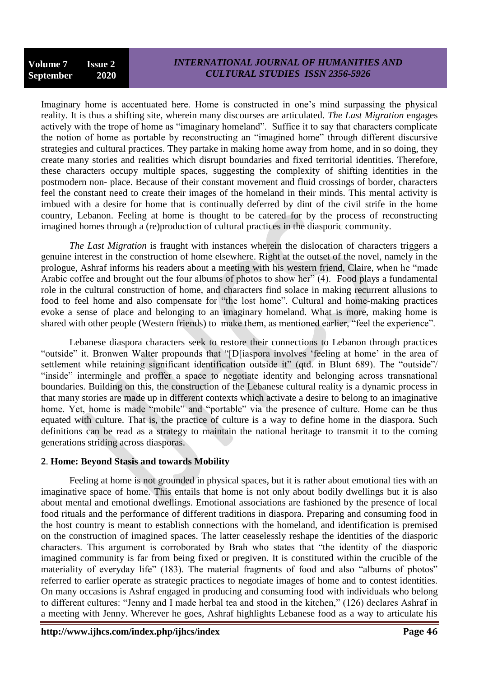Imaginary home is accentuated here. Home is constructed in one's mind surpassing the physical reality. It is thus a shifting site, wherein many discourses are articulated. *The Last Migration* engages actively with the trope of home as "imaginary homeland". Suffice it to say that characters complicate the notion of home as portable by reconstructing an "imagined home" through different discursive strategies and cultural practices. They partake in making home away from home, and in so doing, they create many stories and realities which disrupt boundaries and fixed territorial identities. Therefore, these characters occupy multiple spaces, suggesting the complexity of shifting identities in the postmodern non- place. Because of their constant movement and fluid crossings of border, characters feel the constant need to create their images of the homeland in their minds. This mental activity is imbued with a desire for home that is continually deferred by dint of the civil strife in the home country, Lebanon. Feeling at home is thought to be catered for by the process of reconstructing imagined homes through a (re)production of cultural practices in the diasporic community.

*The Last Migration* is fraught with instances wherein the dislocation of characters triggers a genuine interest in the construction of home elsewhere. Right at the outset of the novel, namely in the prologue, Ashraf informs his readers about a meeting with his western friend, Claire, when he "made Arabic coffee and brought out the four albums of photos to show her" (4). Food plays a fundamental role in the cultural construction of home, and characters find solace in making recurrent allusions to food to feel home and also compensate for "the lost home". Cultural and home-making practices evoke a sense of place and belonging to an imaginary homeland. What is more, making home is shared with other people (Western friends) to make them, as mentioned earlier, "feel the experience".

Lebanese diaspora characters seek to restore their connections to Lebanon through practices "outside" it. Bronwen Walter propounds that "[D[iaspora involves "feeling at home" in the area of settlement while retaining significant identification outside it" (qtd. in Blunt 689). The "outside"/ "inside" intermingle and proffer a space to negotiate identity and belonging across transnational boundaries. Building on this, the construction of the Lebanese cultural reality is a dynamic process in that many stories are made up in different contexts which activate a desire to belong to an imaginative home. Yet, home is made "mobile" and "portable" via the presence of culture. Home can be thus equated with culture. That is, the practice of culture is a way to define home in the diaspora. Such definitions can be read as a strategy to maintain the national heritage to transmit it to the coming generations striding across diasporas.

### **2**. **Home: Beyond Stasis and towards Mobility**

Feeling at home is not grounded in physical spaces, but it is rather about emotional ties with an imaginative space of home. This entails that home is not only about bodily dwellings but it is also about mental and emotional dwellings. Emotional associations are fashioned by the presence of local food rituals and the performance of different traditions in diaspora. Preparing and consuming food in the host country is meant to establish connections with the homeland, and identification is premised on the construction of imagined spaces. The latter ceaselessly reshape the identities of the diasporic characters. This argument is corroborated by Brah who states that "the identity of the diasporic imagined community is far from being fixed or pregiven. It is constituted within the crucible of the materiality of everyday life" (183). The material fragments of food and also "albums of photos" referred to earlier operate as strategic practices to negotiate images of home and to contest identities. On many occasions is Ashraf engaged in producing and consuming food with individuals who belong to different cultures: "Jenny and I made herbal tea and stood in the kitchen," (126) declares Ashraf in a meeting with Jenny. Wherever he goes, Ashraf highlights Lebanese food as a way to articulate his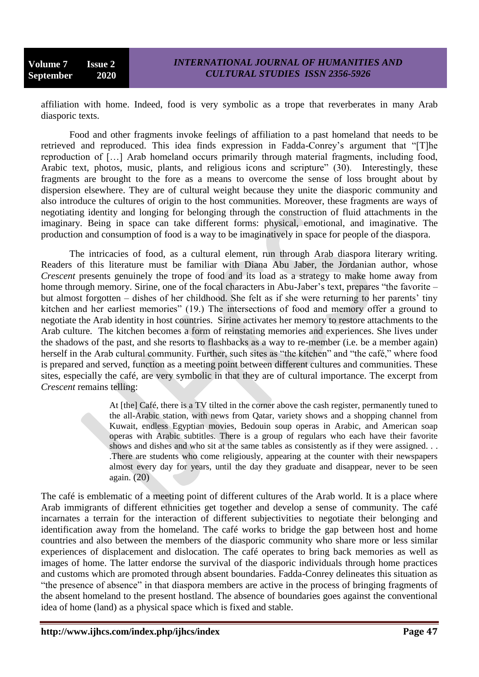affiliation with home. Indeed, food is very symbolic as a trope that reverberates in many Arab diasporic texts.

Food and other fragments invoke feelings of affiliation to a past homeland that needs to be retrieved and reproduced. This idea finds expression in Fadda-Conrey"s argument that "[T]he reproduction of […] Arab homeland occurs primarily through material fragments, including food, Arabic text, photos, music, plants, and religious icons and scripture" (30). Interestingly, these fragments are brought to the fore as a means to overcome the sense of loss brought about by dispersion elsewhere. They are of cultural weight because they unite the diasporic community and also introduce the cultures of origin to the host communities. Moreover, these fragments are ways of negotiating identity and longing for belonging through the construction of fluid attachments in the imaginary. Being in space can take different forms: physical, emotional, and imaginative. The production and consumption of food is a way to be imaginatively in space for people of the diaspora.

The intricacies of food, as a cultural element, run through Arab diaspora literary writing. Readers of this literature must be familiar with Diana Abu Jaber, the Jordanian author, whose *Crescent* presents genuinely the trope of food and its load as a strategy to make home away from home through memory. Sirine, one of the focal characters in Abu-Jaber's text, prepares "the favorite – but almost forgotten – dishes of her childhood. She felt as if she were returning to her parents' tiny kitchen and her earliest memories" (19.) The intersections of food and memory offer a ground to negotiate the Arab identity in host countries. Sirine activates her memory to restore attachments to the Arab culture. The kitchen becomes a form of reinstating memories and experiences. She lives under the shadows of the past, and she resorts to flashbacks as a way to re-member (i.e. be a member again) herself in the Arab cultural community. Further, such sites as "the kitchen" and "the café," where food is prepared and served, function as a meeting point between different cultures and communities. These sites, especially the café, are very symbolic in that they are of cultural importance. The excerpt from *Crescent* remains telling:

> At [the] Café, there is a TV tilted in the corner above the cash register, permanently tuned to the all-Arabic station, with news from Qatar, variety shows and a shopping channel from Kuwait, endless Egyptian movies, Bedouin soup operas in Arabic, and American soap operas with Arabic subtitles. There is a group of regulars who each have their favorite shows and dishes and who sit at the same tables as consistently as if they were assigned. . . .There are students who come religiously, appearing at the counter with their newspapers almost every day for years, until the day they graduate and disappear, never to be seen again. (20)

The café is emblematic of a meeting point of different cultures of the Arab world. It is a place where Arab immigrants of different ethnicities get together and develop a sense of community. The café incarnates a terrain for the interaction of different subjectivities to negotiate their belonging and identification away from the homeland. The café works to bridge the gap between host and home countries and also between the members of the diasporic community who share more or less similar experiences of displacement and dislocation. The café operates to bring back memories as well as images of home. The latter endorse the survival of the diasporic individuals through home practices and customs which are promoted through absent boundaries. Fadda-Conrey delineates this situation as "the presence of absence" in that diaspora members are active in the process of bringing fragments of the absent homeland to the present hostland. The absence of boundaries goes against the conventional idea of home (land) as a physical space which is fixed and stable.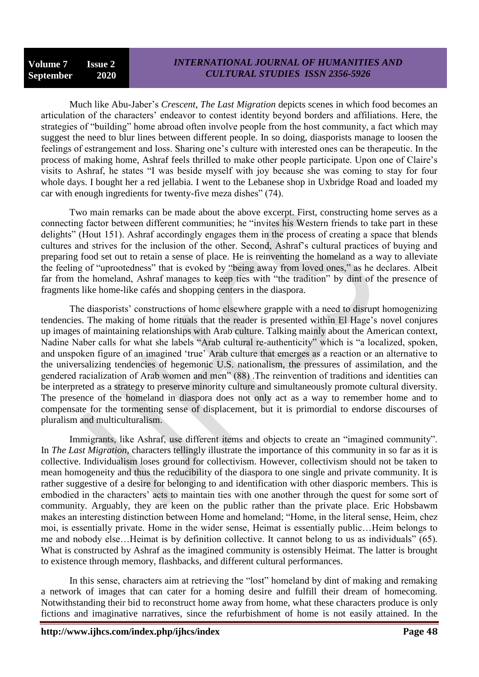## *INTERNATIONAL JOURNAL OF HUMANITIES AND CULTURAL STUDIES ISSN 2356-5926*

Much like Abu-Jaber"s *Crescent*, *The Last Migration* depicts scenes in which food becomes an articulation of the characters" endeavor to contest identity beyond borders and affiliations. Here, the strategies of "building" home abroad often involve people from the host community, a fact which may suggest the need to blur lines between different people. In so doing, diasporists manage to loosen the feelings of estrangement and loss. Sharing one's culture with interested ones can be therapeutic. In the process of making home, Ashraf feels thrilled to make other people participate. Upon one of Claire"s visits to Ashraf, he states "I was beside myself with joy because she was coming to stay for four whole days. I bought her a red jellabia. I went to the Lebanese shop in Uxbridge Road and loaded my car with enough ingredients for twenty-five meza dishes" (74).

Two main remarks can be made about the above excerpt. First, constructing home serves as a connecting factor between different communities; he "invites his Western friends to take part in these delights" (Hout 151). Ashraf accordingly engages them in the process of creating a space that blends cultures and strives for the inclusion of the other. Second, Ashraf"s cultural practices of buying and preparing food set out to retain a sense of place. He is reinventing the homeland as a way to alleviate the feeling of "uprootedness" that is evoked by "being away from loved ones," as he declares. Albeit far from the homeland, Ashraf manages to keep ties with "the tradition" by dint of the presence of fragments like home-like cafés and shopping centers in the diaspora.

The diasporists" constructions of home elsewhere grapple with a need to disrupt homogenizing tendencies. The making of home rituals that the reader is presented within El Hage"s novel conjures up images of maintaining relationships with Arab culture. Talking mainly about the American context, Nadine Naber calls for what she labels "Arab cultural re-authenticity" which is "a localized, spoken, and unspoken figure of an imagined "true" Arab culture that emerges as a reaction or an alternative to the universalizing tendencies of hegemonic U.S. nationalism, the pressures of assimilation, and the gendered racialization of Arab women and men" (88) .The reinvention of traditions and identities can be interpreted as a strategy to preserve minority culture and simultaneously promote cultural diversity. The presence of the homeland in diaspora does not only act as a way to remember home and to compensate for the tormenting sense of displacement, but it is primordial to endorse discourses of pluralism and multiculturalism.

Immigrants, like Ashraf, use different items and objects to create an "imagined community". In *The Last Migration*, characters tellingly illustrate the importance of this community in so far as it is collective. Individualism loses ground for collectivism. However, collectivism should not be taken to mean homogeneity and thus the reducibility of the diaspora to one single and private community. It is rather suggestive of a desire for belonging to and identification with other diasporic members. This is embodied in the characters' acts to maintain ties with one another through the quest for some sort of community. Arguably, they are keen on the public rather than the private place. Eric Hobsbawm makes an interesting distinction between Home and homeland; "Home, in the literal sense, Heim, chez moi, is essentially private. Home in the wider sense, Heimat is essentially public…Heim belongs to me and nobody else…Heimat is by definition collective. It cannot belong to us as individuals" (65). What is constructed by Ashraf as the imagined community is ostensibly Heimat. The latter is brought to existence through memory, flashbacks, and different cultural performances.

In this sense, characters aim at retrieving the "lost" homeland by dint of making and remaking a network of images that can cater for a homing desire and fulfill their dream of homecoming. Notwithstanding their bid to reconstruct home away from home, what these characters produce is only fictions and imaginative narratives, since the refurbishment of home is not easily attained. In the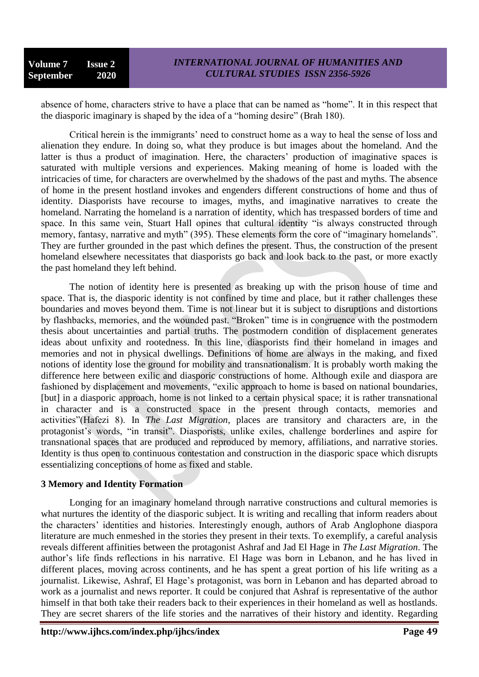absence of home, characters strive to have a place that can be named as "home". It in this respect that the diasporic imaginary is shaped by the idea of a "homing desire" (Brah 180).

Critical herein is the immigrants' need to construct home as a way to heal the sense of loss and alienation they endure. In doing so, what they produce is but images about the homeland. And the latter is thus a product of imagination. Here, the characters' production of imaginative spaces is saturated with multiple versions and experiences. Making meaning of home is loaded with the intricacies of time, for characters are overwhelmed by the shadows of the past and myths. The absence of home in the present hostland invokes and engenders different constructions of home and thus of identity. Diasporists have recourse to images, myths, and imaginative narratives to create the homeland. Narrating the homeland is a narration of identity, which has trespassed borders of time and space. In this same vein, Stuart Hall opines that cultural identity "is always constructed through memory, fantasy, narrative and myth" (395). These elements form the core of "imaginary homelands". They are further grounded in the past which defines the present. Thus, the construction of the present homeland elsewhere necessitates that diasporists go back and look back to the past, or more exactly the past homeland they left behind.

The notion of identity here is presented as breaking up with the prison house of time and space. That is, the diasporic identity is not confined by time and place, but it rather challenges these boundaries and moves beyond them. Time is not linear but it is subject to disruptions and distortions by flashbacks, memories, and the wounded past. "Broken" time is in congruence with the postmodern thesis about uncertainties and partial truths. The postmodern condition of displacement generates ideas about unfixity and rootedness. In this line, diasporists find their homeland in images and memories and not in physical dwellings. Definitions of home are always in the making, and fixed notions of identity lose the ground for mobility and transnationalism. It is probably worth making the difference here between exilic and diasporic constructions of home. Although exile and diaspora are fashioned by displacement and movements, "exilic approach to home is based on national boundaries, [but] in a diasporic approach, home is not linked to a certain physical space; it is rather transnational in character and is a constructed space in the present through contacts, memories and activities"(Hafezi 8). In *The Last Migration*, places are transitory and characters are, in the protagonist's words, "in transit". Diasporists, unlike exiles, challenge borderlines and aspire for transnational spaces that are produced and reproduced by memory, affiliations, and narrative stories. Identity is thus open to continuous contestation and construction in the diasporic space which disrupts essentializing conceptions of home as fixed and stable.

### **3 Memory and Identity Formation**

Longing for an imaginary homeland through narrative constructions and cultural memories is what nurtures the identity of the diasporic subject. It is writing and recalling that inform readers about the characters" identities and histories. Interestingly enough, authors of Arab Anglophone diaspora literature are much enmeshed in the stories they present in their texts. To exemplify, a careful analysis reveals different affinities between the protagonist Ashraf and Jad El Hage in *The Last Migration*. The author"s life finds reflections in his narrative. El Hage was born in Lebanon, and he has lived in different places, moving across continents, and he has spent a great portion of his life writing as a journalist. Likewise, Ashraf, El Hage's protagonist, was born in Lebanon and has departed abroad to work as a journalist and news reporter. It could be conjured that Ashraf is representative of the author himself in that both take their readers back to their experiences in their homeland as well as hostlands. They are secret sharers of the life stories and the narratives of their history and identity. Regarding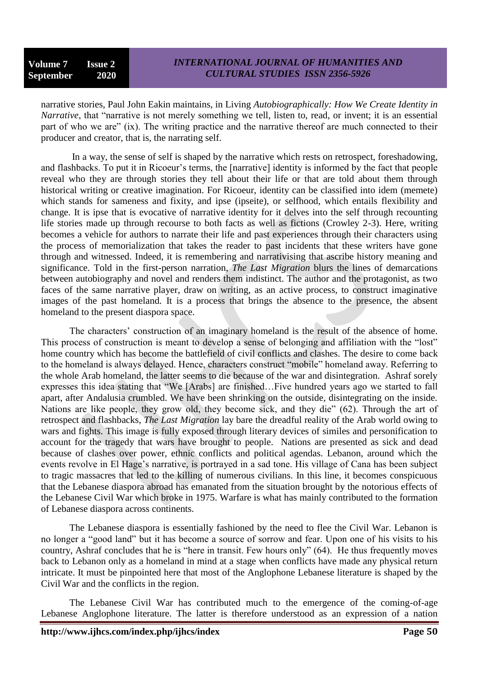narrative stories, Paul John Eakin maintains, in Living *Autobiographically: How We Create Identity in Narrative*, that "narrative is not merely something we tell, listen to, read, or invent; it is an essential part of who we are" (ix). The writing practice and the narrative thereof are much connected to their producer and creator, that is, the narrating self.

In a way, the sense of self is shaped by the narrative which rests on retrospect, foreshadowing, and flashbacks. To put it in Ricoeur's terms, the [narrative] identity is informed by the fact that people reveal who they are through stories they tell about their life or that are told about them through historical writing or creative imagination. For Ricoeur, identity can be classified into idem (memete) which stands for sameness and fixity, and ipse (ipseite), or selfhood, which entails flexibility and change. It is ipse that is evocative of narrative identity for it delves into the self through recounting life stories made up through recourse to both facts as well as fictions (Crowley 2-3). Here, writing becomes a vehicle for authors to narrate their life and past experiences through their characters using the process of memorialization that takes the reader to past incidents that these writers have gone through and witnessed. Indeed, it is remembering and narrativising that ascribe history meaning and significance. Told in the first-person narration, *The Last Migration* blurs the lines of demarcations between autobiography and novel and renders them indistinct. The author and the protagonist, as two faces of the same narrative player, draw on writing, as an active process, to construct imaginative images of the past homeland. It is a process that brings the absence to the presence, the absent homeland to the present diaspora space.

The characters' construction of an imaginary homeland is the result of the absence of home. This process of construction is meant to develop a sense of belonging and affiliation with the "lost" home country which has become the battlefield of civil conflicts and clashes. The desire to come back to the homeland is always delayed. Hence, characters construct "mobile" homeland away. Referring to the whole Arab homeland, the latter seems to die because of the war and disintegration. Ashraf sorely expresses this idea stating that "We [Arabs] are finished…Five hundred years ago we started to fall apart, after Andalusia crumbled. We have been shrinking on the outside, disintegrating on the inside. Nations are like people, they grow old, they become sick, and they die" (62). Through the art of retrospect and flashbacks, *The Last Migration* lay bare the dreadful reality of the Arab world owing to wars and fights. This image is fully exposed through literary devices of similes and personification to account for the tragedy that wars have brought to people. Nations are presented as sick and dead because of clashes over power, ethnic conflicts and political agendas. Lebanon, around which the events revolve in El Hage's narrative, is portrayed in a sad tone. His village of Cana has been subject to tragic massacres that led to the killing of numerous civilians. In this line, it becomes conspicuous that the Lebanese diaspora abroad has emanated from the situation brought by the notorious effects of the Lebanese Civil War which broke in 1975. Warfare is what has mainly contributed to the formation of Lebanese diaspora across continents.

The Lebanese diaspora is essentially fashioned by the need to flee the Civil War. Lebanon is no longer a "good land" but it has become a source of sorrow and fear. Upon one of his visits to his country, Ashraf concludes that he is "here in transit. Few hours only" (64). He thus frequently moves back to Lebanon only as a homeland in mind at a stage when conflicts have made any physical return intricate. It must be pinpointed here that most of the Anglophone Lebanese literature is shaped by the Civil War and the conflicts in the region.

The Lebanese Civil War has contributed much to the emergence of the coming-of-age Lebanese Anglophone literature. The latter is therefore understood as an expression of a nation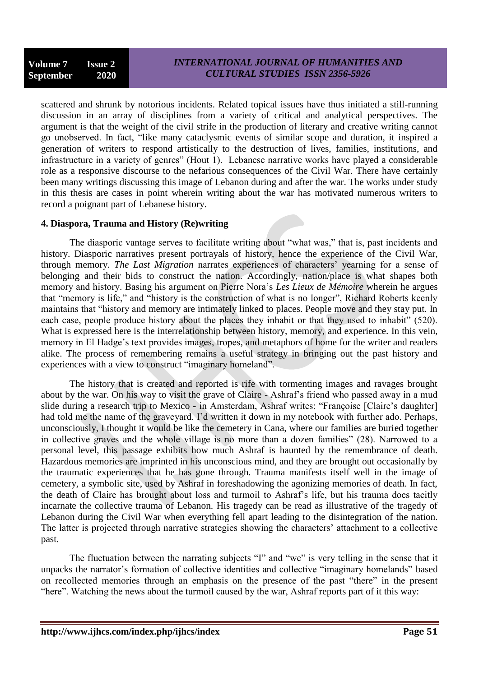scattered and shrunk by notorious incidents. Related topical issues have thus initiated a still-running discussion in an array of disciplines from a variety of critical and analytical perspectives. The argument is that the weight of the civil strife in the production of literary and creative writing cannot go unobserved. In fact, "like many cataclysmic events of similar scope and duration, it inspired a generation of writers to respond artistically to the destruction of lives, families, institutions, and infrastructure in a variety of genres" (Hout 1). Lebanese narrative works have played a considerable role as a responsive discourse to the nefarious consequences of the Civil War. There have certainly been many writings discussing this image of Lebanon during and after the war. The works under study in this thesis are cases in point wherein writing about the war has motivated numerous writers to record a poignant part of Lebanese history.

#### **4. Diaspora, Trauma and History (Re)writing**

The diasporic vantage serves to facilitate writing about "what was," that is, past incidents and history. Diasporic narratives present portrayals of history, hence the experience of the Civil War, through memory. *The Last Migration* narrates experiences of characters" yearning for a sense of belonging and their bids to construct the nation. Accordingly, nation/place is what shapes both memory and history. Basing his argument on Pierre Nora"s *Les Lieux de Mémoire* wherein he argues that "memory is life," and "history is the construction of what is no longer", Richard Roberts keenly maintains that "history and memory are intimately linked to places. People move and they stay put. In each case, people produce history about the places they inhabit or that they used to inhabit" (520). What is expressed here is the interrelationship between history, memory, and experience. In this vein, memory in El Hadge's text provides images, tropes, and metaphors of home for the writer and readers alike. The process of remembering remains a useful strategy in bringing out the past history and experiences with a view to construct "imaginary homeland".

The history that is created and reported is rife with tormenting images and ravages brought about by the war. On his way to visit the grave of Claire - Ashraf"s friend who passed away in a mud slide during a research trip to Mexico - in Amsterdam, Ashraf writes: "Françoise [Claire's daughter] had told me the name of the graveyard. I'd written it down in my notebook with further ado. Perhaps, unconsciously, I thought it would be like the cemetery in Cana, where our families are buried together in collective graves and the whole village is no more than a dozen families" (28). Narrowed to a personal level, this passage exhibits how much Ashraf is haunted by the remembrance of death. Hazardous memories are imprinted in his unconscious mind, and they are brought out occasionally by the traumatic experiences that he has gone through. Trauma manifests itself well in the image of cemetery, a symbolic site, used by Ashraf in foreshadowing the agonizing memories of death. In fact, the death of Claire has brought about loss and turmoil to Ashraf"s life, but his trauma does tacitly incarnate the collective trauma of Lebanon. His tragedy can be read as illustrative of the tragedy of Lebanon during the Civil War when everything fell apart leading to the disintegration of the nation. The latter is projected through narrative strategies showing the characters" attachment to a collective past.

The fluctuation between the narrating subjects "I" and "we" is very telling in the sense that it unpacks the narrator's formation of collective identities and collective "imaginary homelands" based on recollected memories through an emphasis on the presence of the past "there" in the present "here". Watching the news about the turmoil caused by the war, Ashraf reports part of it this way: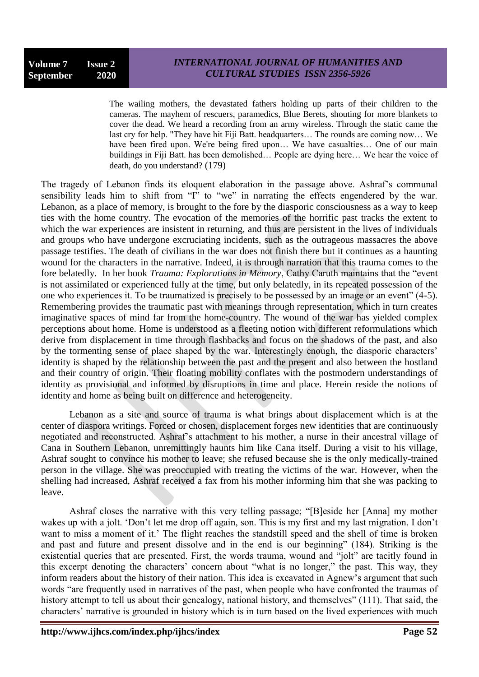The wailing mothers, the devastated fathers holding up parts of their children to the cameras. The mayhem of rescuers, paramedics, Blue Berets, shouting for more blankets to cover the dead. We heard a recording from an army wireless. Through the static came the last cry for help. "They have hit Fiji Batt. headquarters… The rounds are coming now… We have been fired upon. We're being fired upon... We have casualties... One of our main buildings in Fiji Batt. has been demolished… People are dying here… We hear the voice of death, do you understand? (179)

The tragedy of Lebanon finds its eloquent elaboration in the passage above. Ashraf"s communal sensibility leads him to shift from "I" to "we" in narrating the effects engendered by the war. Lebanon, as a place of memory, is brought to the fore by the diasporic consciousness as a way to keep ties with the home country. The evocation of the memories of the horrific past tracks the extent to which the war experiences are insistent in returning, and thus are persistent in the lives of individuals and groups who have undergone excruciating incidents, such as the outrageous massacres the above passage testifies. The death of civilians in the war does not finish there but it continues as a haunting wound for the characters in the narrative. Indeed, it is through narration that this trauma comes to the fore belatedly. In her book *Trauma: Explorations in Memory*, Cathy Caruth maintains that the "event is not assimilated or experienced fully at the time, but only belatedly, in its repeated possession of the one who experiences it. To be traumatized is precisely to be possessed by an image or an event" (4-5). Remembering provides the traumatic past with meanings through representation, which in turn creates imaginative spaces of mind far from the home-country. The wound of the war has yielded complex perceptions about home. Home is understood as a fleeting notion with different reformulations which derive from displacement in time through flashbacks and focus on the shadows of the past, and also by the tormenting sense of place shaped by the war. Interestingly enough, the diasporic characters' identity is shaped by the relationship between the past and the present and also between the hostland and their country of origin. Their floating mobility conflates with the postmodern understandings of identity as provisional and informed by disruptions in time and place. Herein reside the notions of identity and home as being built on difference and heterogeneity.

Lebanon as a site and source of trauma is what brings about displacement which is at the center of diaspora writings. Forced or chosen, displacement forges new identities that are continuously negotiated and reconstructed. Ashraf"s attachment to his mother, a nurse in their ancestral village of Cana in Southern Lebanon, unremittingly haunts him like Cana itself. During a visit to his village, Ashraf sought to convince his mother to leave; she refused because she is the only medically-trained person in the village. She was preoccupied with treating the victims of the war. However, when the shelling had increased, Ashraf received a fax from his mother informing him that she was packing to leave.

Ashraf closes the narrative with this very telling passage; "[B]eside her [Anna] my mother wakes up with a jolt. 'Don't let me drop off again, son. This is my first and my last migration. I don't want to miss a moment of it.' The flight reaches the standstill speed and the shell of time is broken and past and future and present dissolve and in the end is our beginning" (184). Striking is the existential queries that are presented. First, the words trauma, wound and "jolt" are tacitly found in this excerpt denoting the characters" concern about "what is no longer," the past. This way, they inform readers about the history of their nation. This idea is excavated in Agnew"s argument that such words "are frequently used in narratives of the past, when people who have confronted the traumas of history attempt to tell us about their genealogy, national history, and themselves" (111). That said, the characters" narrative is grounded in history which is in turn based on the lived experiences with much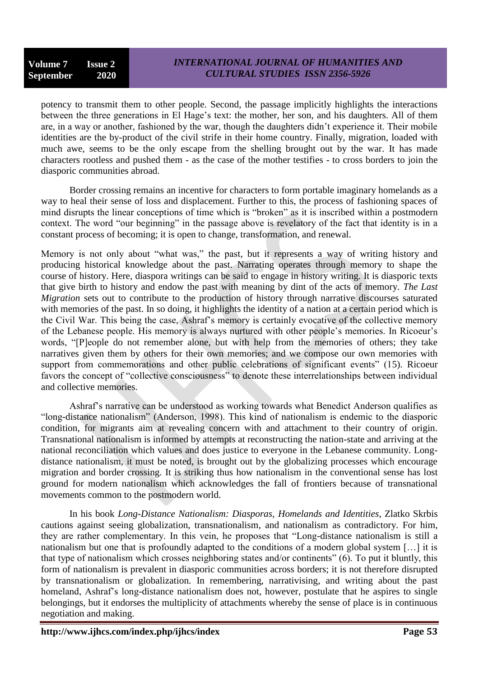potency to transmit them to other people. Second, the passage implicitly highlights the interactions between the three generations in El Hage's text: the mother, her son, and his daughters. All of them are, in a way or another, fashioned by the war, though the daughters didn"t experience it. Their mobile identities are the by-product of the civil strife in their home country. Finally, migration, loaded with much awe, seems to be the only escape from the shelling brought out by the war. It has made characters rootless and pushed them - as the case of the mother testifies - to cross borders to join the diasporic communities abroad.

Border crossing remains an incentive for characters to form portable imaginary homelands as a way to heal their sense of loss and displacement. Further to this, the process of fashioning spaces of mind disrupts the linear conceptions of time which is "broken" as it is inscribed within a postmodern context. The word "our beginning" in the passage above is revelatory of the fact that identity is in a constant process of becoming; it is open to change, transformation, and renewal.

Memory is not only about "what was," the past, but it represents a way of writing history and producing historical knowledge about the past. Narrating operates through memory to shape the course of history. Here, diaspora writings can be said to engage in history writing. It is diasporic texts that give birth to history and endow the past with meaning by dint of the acts of memory. *The Last Migration* sets out to contribute to the production of history through narrative discourses saturated with memories of the past. In so doing, it highlights the identity of a nation at a certain period which is the Civil War. This being the case, Ashraf"s memory is certainly evocative of the collective memory of the Lebanese people. His memory is always nurtured with other people"s memories. In Ricoeur"s words, "[P]eople do not remember alone, but with help from the memories of others; they take narratives given them by others for their own memories; and we compose our own memories with support from commemorations and other public celebrations of significant events" (15). Ricoeur favors the concept of "collective consciousness" to denote these interrelationships between individual and collective memories.

Ashraf"s narrative can be understood as working towards what Benedict Anderson qualifies as "long-distance nationalism" (Anderson, 1998). This kind of nationalism is endemic to the diasporic condition, for migrants aim at revealing concern with and attachment to their country of origin. Transnational nationalism is informed by attempts at reconstructing the nation-state and arriving at the national reconciliation which values and does justice to everyone in the Lebanese community. Longdistance nationalism, it must be noted, is brought out by the globalizing processes which encourage migration and border crossing. It is striking thus how nationalism in the conventional sense has lost ground for modern nationalism which acknowledges the fall of frontiers because of transnational movements common to the postmodern world.

In his book *Long-Distance Nationalism: Diasporas, Homelands and Identities*, Zlatko Skrbis cautions against seeing globalization, transnationalism, and nationalism as contradictory. For him, they are rather complementary. In this vein, he proposes that "Long-distance nationalism is still a nationalism but one that is profoundly adapted to the conditions of a modern global system […] it is that type of nationalism which crosses neighboring states and/or continents" (6). To put it bluntly, this form of nationalism is prevalent in diasporic communities across borders; it is not therefore disrupted by transnationalism or globalization. In remembering, narrativising, and writing about the past homeland, Ashraf's long-distance nationalism does not, however, postulate that he aspires to single belongings, but it endorses the multiplicity of attachments whereby the sense of place is in continuous negotiation and making.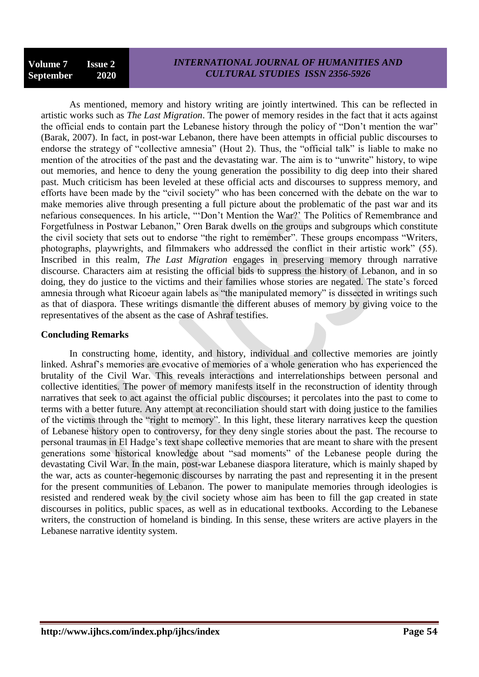As mentioned, memory and history writing are jointly intertwined. This can be reflected in artistic works such as *The Last Migration*. The power of memory resides in the fact that it acts against the official ends to contain part the Lebanese history through the policy of "Don"t mention the war" (Barak, 2007). In fact, in post-war Lebanon, there have been attempts in official public discourses to endorse the strategy of "collective amnesia" (Hout 2). Thus, the "official talk" is liable to make no mention of the atrocities of the past and the devastating war. The aim is to "unwrite" history, to wipe out memories, and hence to deny the young generation the possibility to dig deep into their shared past. Much criticism has been leveled at these official acts and discourses to suppress memory, and efforts have been made by the "civil society" who has been concerned with the debate on the war to make memories alive through presenting a full picture about the problematic of the past war and its nefarious consequences. In his article, ""Don"t Mention the War?" The Politics of Remembrance and Forgetfulness in Postwar Lebanon," Oren Barak dwells on the groups and subgroups which constitute the civil society that sets out to endorse "the right to remember". These groups encompass "Writers, photographs, playwrights, and filmmakers who addressed the conflict in their artistic work" (55). Inscribed in this realm, *The Last Migration* engages in preserving memory through narrative discourse. Characters aim at resisting the official bids to suppress the history of Lebanon, and in so doing, they do justice to the victims and their families whose stories are negated. The state"s forced amnesia through what Ricoeur again labels as "the manipulated memory" is dissected in writings such as that of diaspora. These writings dismantle the different abuses of memory by giving voice to the representatives of the absent as the case of Ashraf testifies.

## **Concluding Remarks**

In constructing home, identity, and history, individual and collective memories are jointly linked. Ashraf"s memories are evocative of memories of a whole generation who has experienced the brutality of the Civil War. This reveals interactions and interrelationships between personal and collective identities. The power of memory manifests itself in the reconstruction of identity through narratives that seek to act against the official public discourses; it percolates into the past to come to terms with a better future. Any attempt at reconciliation should start with doing justice to the families of the victims through the "right to memory". In this light, these literary narratives keep the question of Lebanese history open to controversy, for they deny single stories about the past. The recourse to personal traumas in El Hadge"s text shape collective memories that are meant to share with the present generations some historical knowledge about "sad moments" of the Lebanese people during the devastating Civil War. In the main, post-war Lebanese diaspora literature, which is mainly shaped by the war, acts as counter-hegemonic discourses by narrating the past and representing it in the present for the present communities of Lebanon. The power to manipulate memories through ideologies is resisted and rendered weak by the civil society whose aim has been to fill the gap created in state discourses in politics, public spaces, as well as in educational textbooks. According to the Lebanese writers, the construction of homeland is binding. In this sense, these writers are active players in the Lebanese narrative identity system.